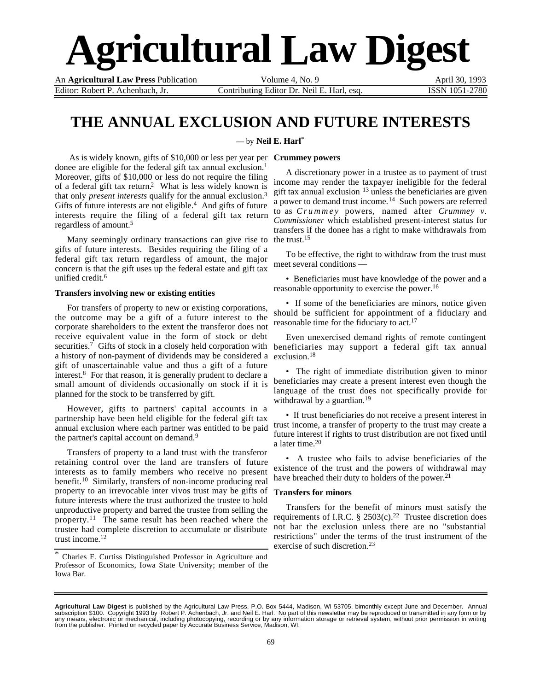# **Agricultural Law Digest**

An **Agricultural Law Press** Publication Volume 4, No. 9 April 30, 1993 Editor: Robert P. Achenbach, Jr. Contributing Editor Dr. Neil E. Harl, esq. **ISSN 1051-2780** 

# **THE ANNUAL EXCLUSION AND FUTURE INTERESTS**

— by **Neil E. Harl**\*

 As is widely known, gifts of \$10,000 or less per year per **Crummey powers** donee are eligible for the federal gift tax annual exclusion.<sup>1</sup> Moreover, gifts of \$10,000 or less do not require the filing of a federal gift tax return.2 What is less widely known is that only *present interests* qualify for the annual exclusion.3 Gifts of future interests are not eligible.<sup>4</sup> And gifts of future interests require the filing of a federal gift tax return regardless of amount.5

Many seemingly ordinary transactions can give rise to gifts of future interests. Besides requiring the filing of a federal gift tax return regardless of amount, the major concern is that the gift uses up the federal estate and gift tax unified credit.6

### **Transfers involving new or existing entities**

For transfers of property to new or existing corporations, the outcome may be a gift of a future interest to the corporate shareholders to the extent the transferor does not receive equivalent value in the form of stock or debt securities.<sup>7</sup> Gifts of stock in a closely held corporation with a history of non-payment of dividends may be considered a exclusion.<sup>18</sup> gift of unascertainable value and thus a gift of a future interest.8 For that reason, it is generally prudent to declare a small amount of dividends occasionally on stock if it is planned for the stock to be transferred by gift.

However, gifts to partners' capital accounts in a partnership have been held eligible for the federal gift tax annual exclusion where each partner was entitled to be paid the partner's capital account on demand.<sup>9</sup>

Transfers of property to a land trust with the transferor retaining control over the land are transfers of future interests as to family members who receive no present benefit.10 Similarly, transfers of non-income producing real property to an irrevocable inter vivos trust may be gifts of **Transfers for minors** future interests where the trust authorized the trustee to hold unproductive property and barred the trustee from selling the property.11 The same result has been reached where the trustee had complete discretion to accumulate or distribute trust income.12

A discretionary power in a trustee as to payment of trust income may render the taxpayer ineligible for the federal gift tax annual exclusion 13 unless the beneficiaries are given a power to demand trust income.<sup>14</sup> Such powers are referred to as *Crummey* powers, named after *Crummey v. Commissioner* which established present-interest status for transfers if the donee has a right to make withdrawals from the trust.15

To be effective, the right to withdraw from the trust must meet several conditions —

• Beneficiaries must have knowledge of the power and a reasonable opportunity to exercise the power.16

• If some of the beneficiaries are minors, notice given should be sufficient for appointment of a fiduciary and reasonable time for the fiduciary to act.<sup>17</sup>

Even unexercised demand rights of remote contingent beneficiaries may support a federal gift tax annual

• The right of immediate distribution given to minor beneficiaries may create a present interest even though the language of the trust does not specifically provide for withdrawal by a guardian.<sup>19</sup>

• If trust beneficiaries do not receive a present interest in trust income, a transfer of property to the trust may create a future interest if rights to trust distribution are not fixed until a later time.<sup>20</sup>

• A trustee who fails to advise beneficiaries of the existence of the trust and the powers of withdrawal may have breached their duty to holders of the power.<sup>21</sup>

Transfers for the benefit of minors must satisfy the requirements of I.R.C. § 2503(c).<sup>22</sup> Trustee discretion does not bar the exclusion unless there are no "substantial restrictions" under the terms of the trust instrument of the exercise of such discretion.23

Charles F. Curtiss Distinguished Professor in Agriculture and Professor of Economics, Iowa State University; member of the Iowa Bar.

**Agricultural Law Digest** is published by the Agricultural Law Press, P.O. Box 5444, Madison, WI 53705, bimonthly except June and December. Annual<br>subscription \$100. Copyright 1993 by Robert P. Achenbach, Jr. and Neil E. from the publisher. Printed on recycled paper by Accurate Business Service, Madison, WI.